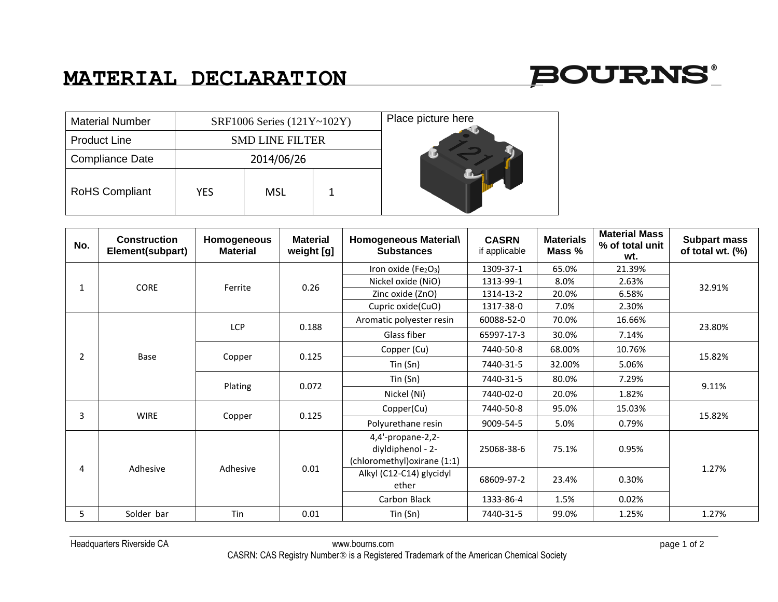## **MATERIAL DECLARATION**



| <b>Material Number</b> | SRF1006 Series (121Y~102Y) |            |  | Place picture here |
|------------------------|----------------------------|------------|--|--------------------|
| <b>Product Line</b>    | <b>SMD LINE FILTER</b>     |            |  |                    |
| <b>Compliance Date</b> | 2014/06/26                 |            |  |                    |
| <b>RoHS Compliant</b>  | <b>YES</b>                 | <b>MSL</b> |  |                    |

| No.              | <b>Construction</b><br>Element(subpart) | Homogeneous<br><b>Material</b> | <b>Material</b><br>weight [g] | Homogeneous Material\<br><b>Substances</b>                             | <b>CASRN</b><br>if applicable | <b>Materials</b><br>Mass % | <b>Material Mass</b><br>% of total unit<br>wt. | <b>Subpart mass</b><br>of total wt. (%) |
|------------------|-----------------------------------------|--------------------------------|-------------------------------|------------------------------------------------------------------------|-------------------------------|----------------------------|------------------------------------------------|-----------------------------------------|
| 1                | <b>CORE</b>                             | Ferrite                        | 0.26                          | Iron oxide (Fe2O3)                                                     | 1309-37-1                     | 65.0%                      | 21.39%                                         | 32.91%                                  |
|                  |                                         |                                |                               | Nickel oxide (NiO)                                                     | 1313-99-1                     | 8.0%                       | 2.63%                                          |                                         |
|                  |                                         |                                |                               | Zinc oxide (ZnO)                                                       | 1314-13-2                     | 20.0%                      | 6.58%                                          |                                         |
|                  |                                         |                                |                               | Cupric oxide(CuO)                                                      | 1317-38-0                     | 7.0%                       | 2.30%                                          |                                         |
| $\overline{2}$   | Base                                    | <b>LCP</b>                     | 0.188                         | Aromatic polyester resin                                               | 60088-52-0                    | 70.0%                      | 16.66%                                         | 23.80%                                  |
|                  |                                         |                                |                               | Glass fiber                                                            | 65997-17-3                    | 30.0%                      | 7.14%                                          |                                         |
|                  |                                         | Copper                         | 0.125                         | Copper (Cu)                                                            | 7440-50-8                     | 68.00%                     | 10.76%                                         | 15.82%                                  |
|                  |                                         |                                |                               | Tin(Sn)                                                                | 7440-31-5                     | 32.00%                     | 5.06%                                          |                                         |
|                  |                                         | Plating                        | 0.072                         | Tin (Sn)                                                               | 7440-31-5                     | 80.0%                      | 7.29%                                          | 9.11%                                   |
|                  |                                         |                                |                               | Nickel (Ni)                                                            | 7440-02-0                     | 20.0%                      | 1.82%                                          |                                         |
| 3<br><b>WIRE</b> |                                         | Copper                         | 0.125                         | Copper(Cu)                                                             | 7440-50-8                     | 95.0%                      | 15.03%                                         | 15.82%                                  |
|                  |                                         |                                |                               | Polyurethane resin                                                     | 9009-54-5                     | 5.0%                       | 0.79%                                          |                                         |
| 4                | Adhesive                                | Adhesive                       | 0.01                          | 4,4'-propane-2,2-<br>diyldiphenol - 2-<br>(chloromethyl) oxirane (1:1) | 25068-38-6                    | 75.1%                      | 0.95%                                          | 1.27%                                   |
|                  |                                         |                                |                               | Alkyl (C12-C14) glycidyl<br>ether                                      | 68609-97-2                    | 23.4%                      | 0.30%                                          |                                         |
|                  |                                         |                                |                               | Carbon Black                                                           | 1333-86-4                     | 1.5%                       | 0.02%                                          |                                         |
| 5                | Solder bar                              | Tin                            | 0.01                          | Tin (Sn)                                                               | 7440-31-5                     | 99.0%                      | 1.25%                                          | 1.27%                                   |